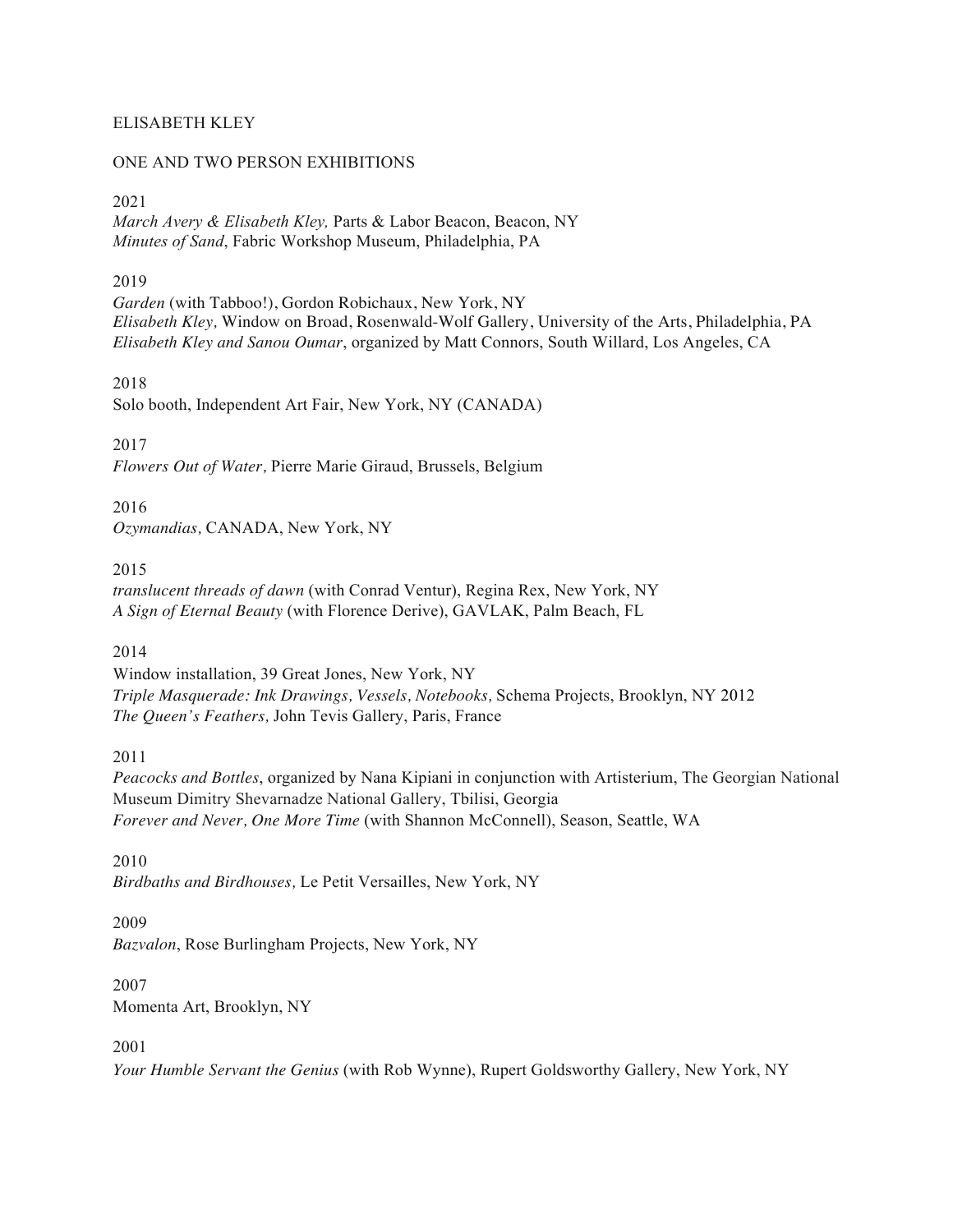#### ELISABETH KLEY

#### ONE AND TWO PERSON EXHIBITIONS

#### 2021

*March Avery & Elisabeth Kley,* Parts & Labor Beacon, Beacon, NY *Minutes of Sand*, Fabric Workshop Museum, Philadelphia, PA

### 2019

Garden (with Tabboo!), Gordon Robichaux, New York, NY *Elisabeth Kley,* Window on Broad, Rosenwald-Wolf Gallery, University of the Arts, Philadelphia, PA *Elisabeth Kley and Sanou Oumar*, organized by Matt Connors, South Willard, Los Angeles, CA

#### 2018

Solo booth, Independent Art Fair, New York, NY (CANADA)

2017

*Flowers Out of Water,* Pierre Marie Giraud, Brussels, Belgium

2016 *Ozymandias,* CANADA, New York, NY

2015

*translucent threads of dawn* (with Conrad Ventur), Regina Rex, New York, NY *A Sign of Eternal Beauty* (with Florence Derive), GAVLAK, Palm Beach, FL

#### 2014

Window installation, 39 Great Jones, New York, NY *Triple Masquerade: Ink Drawings, Vessels, Notebooks,* Schema Projects, Brooklyn, NY 2012 *The Queen's Feathers,* John Tevis Gallery, Paris, France

2011

*Peacocks and Bottles*, organized by Nana Kipiani in conjunction with Artisterium, The Georgian National Museum Dimitry Shevarnadze National Gallery, Tbilisi, Georgia *Forever and Never, One More Time* (with Shannon McConnell), Season, Seattle, WA

2010 *Birdbaths and Birdhouses,* Le Petit Versailles, New York, NY

#### 2009

*Bazvalon*, Rose Burlingham Projects, New York, NY

#### 2007 Momenta Art, Brooklyn, NY

#### 2001

*Your Humble Servant the Genius* (with Rob Wynne), Rupert Goldsworthy Gallery, New York, NY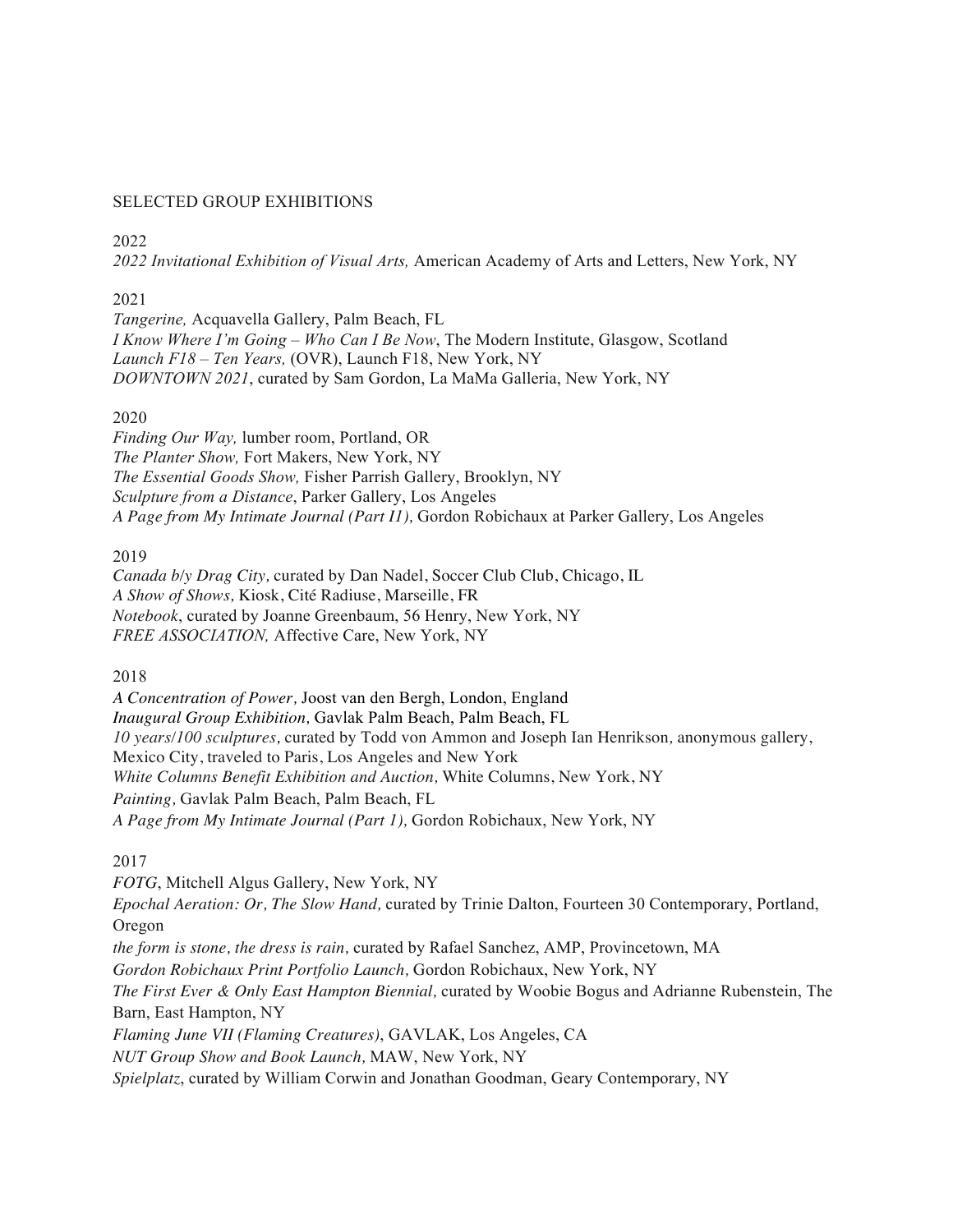#### SELECTED GROUP EXHIBITIONS

#### 2022

*2022 Invitational Exhibition of Visual Arts,* American Academy of Arts and Letters, New York, NY

### 2021

*Tangerine,* Acquavella Gallery, Palm Beach, FL *I Know Where I'm Going – Who Can I Be Now*, The Modern Institute, Glasgow, Scotland *Launch F18 – Ten Years,* (OVR), Launch F18, New York, NY *DOWNTOWN 2021*, curated by Sam Gordon, La MaMa Galleria, New York, NY

### 2020

*Finding Our Way,* lumber room, Portland, OR *The Planter Show,* Fort Makers, New York, NY *The Essential Goods Show,* Fisher Parrish Gallery, Brooklyn, NY *Sculpture from a Distance*, Parker Gallery, Los Angeles *A Page from My Intimate Journal (Part I1),* Gordon Robichaux at Parker Gallery, Los Angeles

2019

*Canada b/y Drag City,* curated by Dan Nadel, Soccer Club Club, Chicago, IL *A Show of Shows,* Kiosk, Cité Radiuse, Marseille, FR *Notebook*, curated by Joanne Greenbaum, 56 Henry, New York, NY *FREE ASSOCIATION,* Affective Care, New York, NY

2018

*A Concentration of Power,* Joost van den Bergh, London, England *Inaugural Group Exhibition,* Gavlak Palm Beach, Palm Beach, FL *10 years/100 sculptures,* curated by Todd von Ammon and Joseph Ian Henrikson*,* anonymous gallery, Mexico City, traveled to Paris, Los Angeles and New York *White Columns Benefit Exhibition and Auction,* White Columns, New York, NY *Painting,* Gavlak Palm Beach, Palm Beach, FL *A Page from My Intimate Journal (Part 1),* Gordon Robichaux, New York, NY

## 2017

*FOTG*, Mitchell Algus Gallery, New York, NY *Epochal Aeration: Or, The Slow Hand,* curated by Trinie Dalton, Fourteen 30 Contemporary, Portland, Oregon *the form is stone, the dress is rain,* curated by Rafael Sanchez, AMP, Provincetown, MA *Gordon Robichaux Print Portfolio Launch,* Gordon Robichaux, New York, NY *The First Ever & Only East Hampton Biennial,* curated by Woobie Bogus and Adrianne Rubenstein, The Barn, East Hampton, NY *Flaming June VII (Flaming Creatures)*, GAVLAK, Los Angeles, CA *NUT Group Show and Book Launch,* MAW, New York, NY

*Spielplatz*, curated by William Corwin and Jonathan Goodman, Geary Contemporary, NY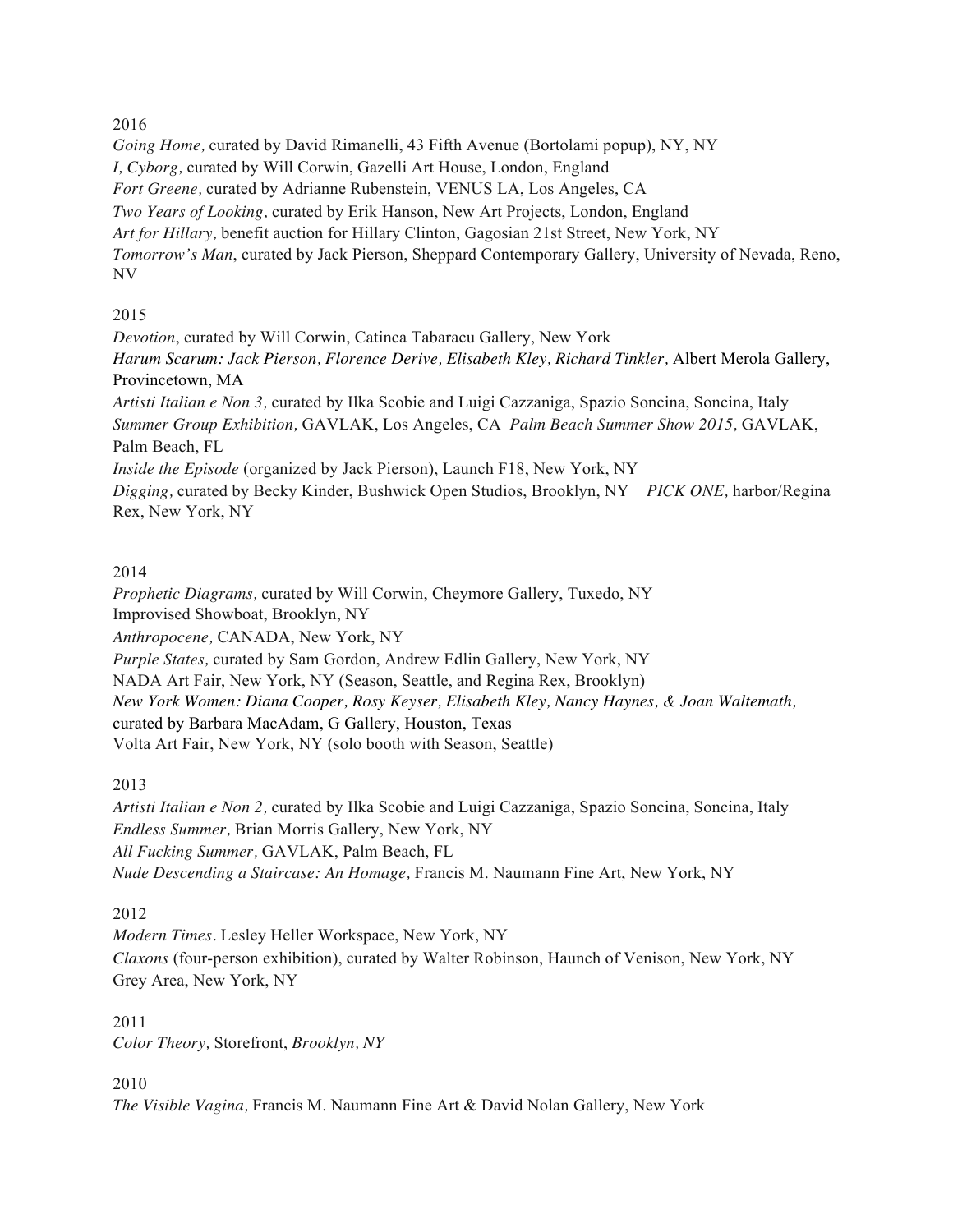# 2016

*Going Home,* curated by David Rimanelli, 43 Fifth Avenue (Bortolami popup), NY, NY *I, Cyborg,* curated by Will Corwin, Gazelli Art House, London, England *Fort Greene,* curated by Adrianne Rubenstein, VENUS LA, Los Angeles, CA *Two Years of Looking,* curated by Erik Hanson, New Art Projects, London, England *Art for Hillary,* benefit auction for Hillary Clinton, Gagosian 21st Street, New York, NY *Tomorrow's Man*, curated by Jack Pierson, Sheppard Contemporary Gallery, University of Nevada, Reno, NV

# 2015

*Devotion*, curated by Will Corwin, Catinca Tabaracu Gallery, New York *Harum Scarum: Jack Pierson, Florence Derive, Elisabeth Kley, Richard Tinkler,* Albert Merola Gallery, Provincetown, MA *Artisti Italian e Non 3,* curated by Ilka Scobie and Luigi Cazzaniga, Spazio Soncina, Soncina, Italy *Summer Group Exhibition,* GAVLAK, Los Angeles, CA *Palm Beach Summer Show 2015,* GAVLAK, Palm Beach, FL *Inside the Episode* (organized by Jack Pierson), Launch F18, New York, NY *Digging,* curated by Becky Kinder, Bushwick Open Studios, Brooklyn, NY *PICK ONE,* harbor/Regina Rex, New York, NY

# 2014

*Prophetic Diagrams,* curated by Will Corwin, Cheymore Gallery, Tuxedo, NY Improvised Showboat, Brooklyn, NY *Anthropocene,* CANADA, New York, NY *Purple States,* curated by Sam Gordon, Andrew Edlin Gallery, New York, NY NADA Art Fair, New York, NY (Season, Seattle, and Regina Rex, Brooklyn) *New York Women: Diana Cooper, Rosy Keyser, Elisabeth Kley, Nancy Haynes, & Joan Waltemath,*  curated by Barbara MacAdam, G Gallery, Houston, Texas Volta Art Fair, New York, NY (solo booth with Season, Seattle)

## 2013

*Artisti Italian e Non 2,* curated by Ilka Scobie and Luigi Cazzaniga, Spazio Soncina, Soncina, Italy *Endless Summer,* Brian Morris Gallery, New York, NY *All Fucking Summer,* GAVLAK, Palm Beach, FL *Nude Descending a Staircase: An Homage,* Francis M. Naumann Fine Art, New York, NY

## 2012

*Modern Times.* Lesley Heller Workspace, New York, NY *Claxons* (four-person exhibition), curated by Walter Robinson, Haunch of Venison, New York, NY Grey Area, New York, NY

2011 *Color Theory,* Storefront, *Brooklyn, NY* 

2010

*The Visible Vagina,* Francis M. Naumann Fine Art & David Nolan Gallery, New York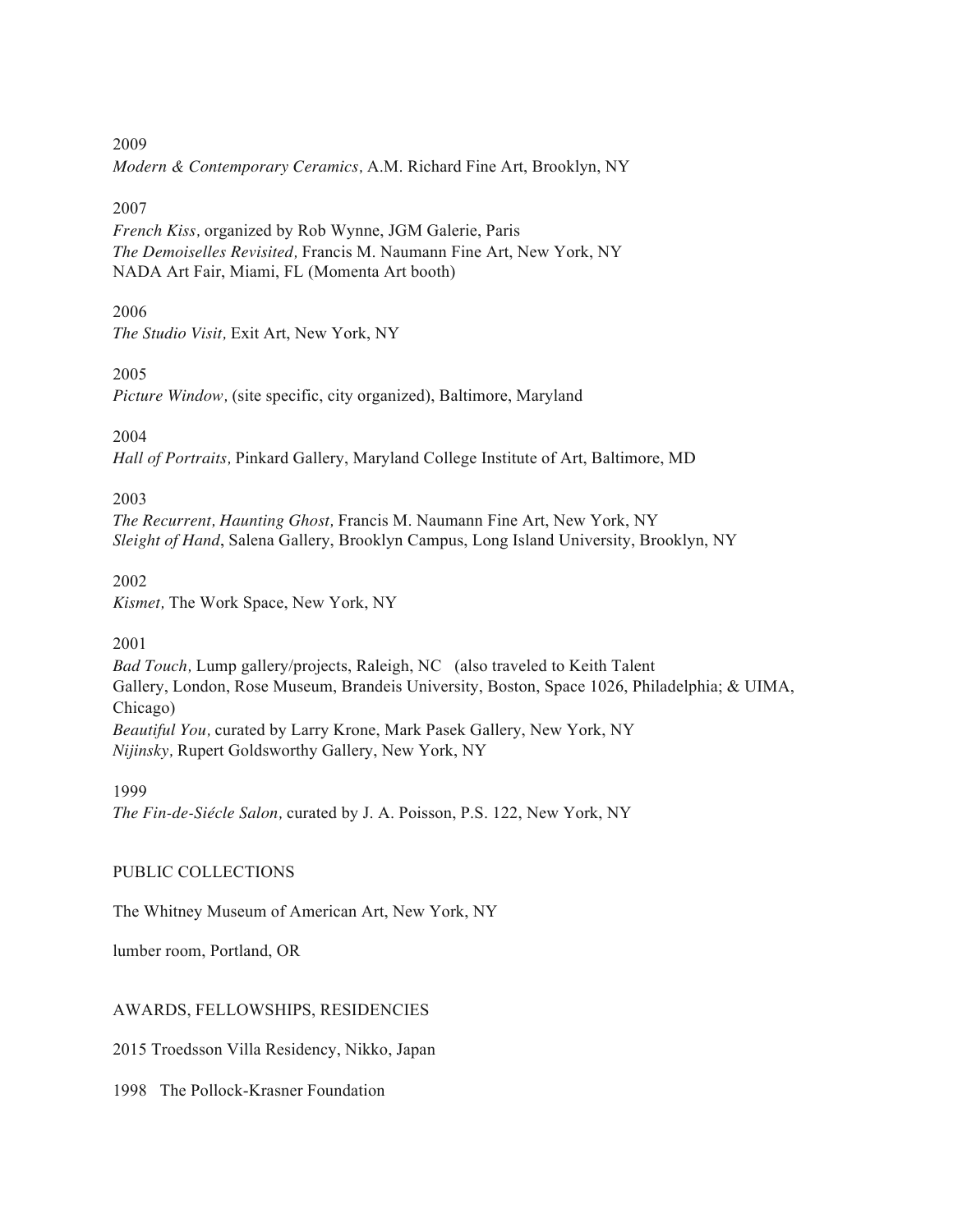2009

*Modern & Contemporary Ceramics,* A.M. Richard Fine Art, Brooklyn, NY

### 2007

*French Kiss,* organized by Rob Wynne, JGM Galerie, Paris *The Demoiselles Revisited,* Francis M. Naumann Fine Art, New York, NY NADA Art Fair, Miami, FL (Momenta Art booth)

### 2006

*The Studio Visit,* Exit Art, New York, NY

### 2005

*Picture Window,* (site specific, city organized), Baltimore, Maryland

2004

*Hall of Portraits,* Pinkard Gallery, Maryland College Institute of Art, Baltimore, MD

2003

*The Recurrent, Haunting Ghost,* Francis M. Naumann Fine Art, New York, NY *Sleight of Hand*, Salena Gallery, Brooklyn Campus, Long Island University, Brooklyn, NY

2002

*Kismet,* The Work Space, New York, NY

2001

*Bad Touch,* Lump gallery/projects, Raleigh, NC (also traveled to Keith Talent Gallery, London, Rose Museum, Brandeis University, Boston, Space 1026, Philadelphia; & UIMA, Chicago) *Beautiful You,* curated by Larry Krone, Mark Pasek Gallery, New York, NY *Nijinsky,* Rupert Goldsworthy Gallery, New York, NY

1999

*The Fin-de-Siécle Salon,* curated by J. A. Poisson, P.S. 122, New York, NY

## PUBLIC COLLECTIONS

The Whitney Museum of American Art, New York, NY

lumber room, Portland, OR

## AWARDS, FELLOWSHIPS, RESIDENCIES

2015 Troedsson Villa Residency, Nikko, Japan

1998 The Pollock-Krasner Foundation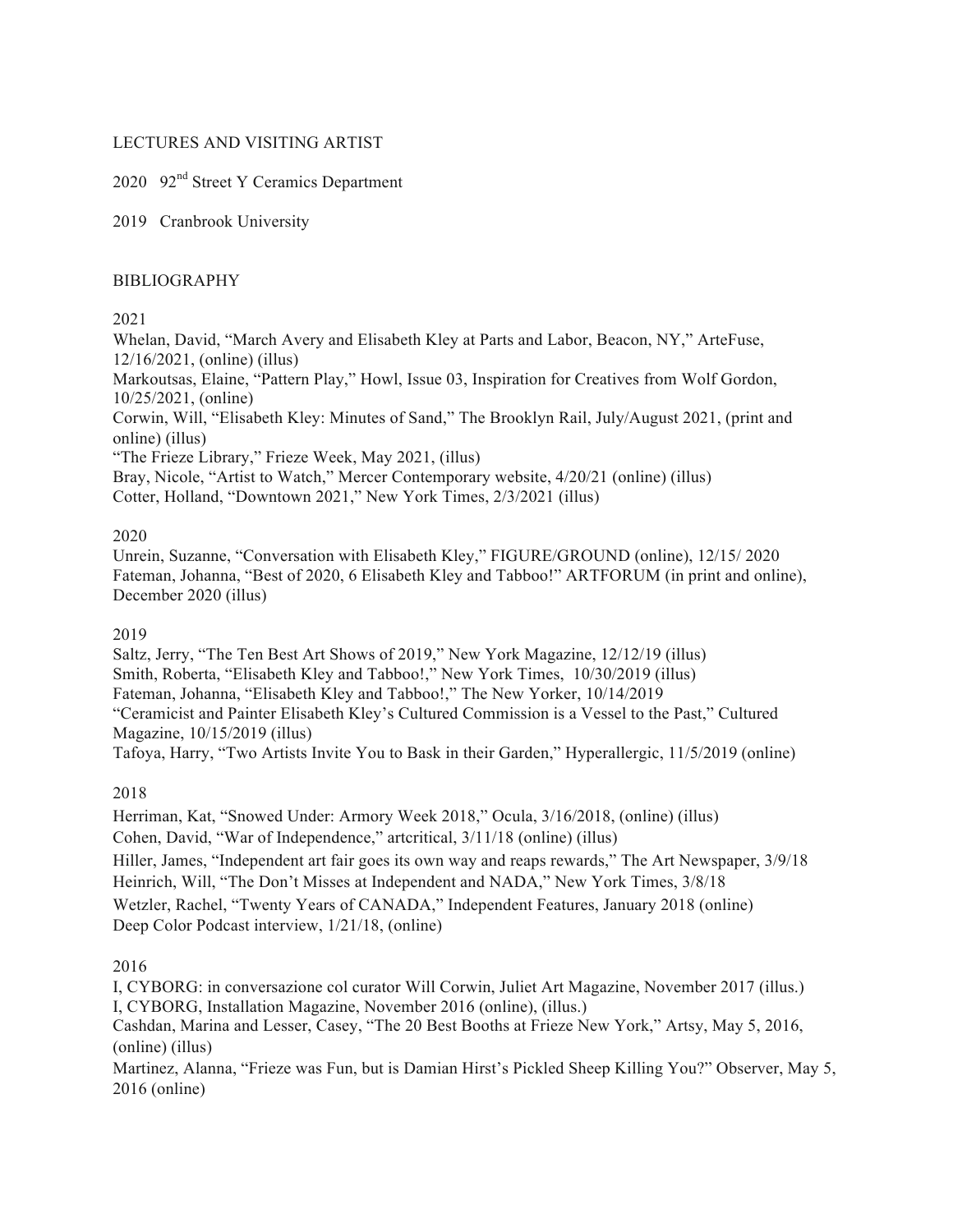### LECTURES AND VISITING ARTIST

# 2020 92nd Street Y Ceramics Department

2019 Cranbrook University

#### BIBLIOGRAPHY

### 2021

Whelan, David, "March Avery and Elisabeth Kley at Parts and Labor, Beacon, NY," ArteFuse, 12/16/2021, (online) (illus)

Markoutsas, Elaine, "Pattern Play," Howl, Issue 03, Inspiration for Creatives from Wolf Gordon, 10/25/2021, (online)

Corwin, Will, "Elisabeth Kley: Minutes of Sand," The Brooklyn Rail, July/August 2021, (print and online) (illus)

"The Frieze Library," Frieze Week, May 2021, (illus)

Bray, Nicole, "Artist to Watch," Mercer Contemporary website, 4/20/21 (online) (illus) Cotter, Holland, "Downtown 2021," New York Times, 2/3/2021 (illus)

## 2020

Unrein, Suzanne, "Conversation with Elisabeth Kley," FIGURE/GROUND (online), 12/15/ 2020 Fateman, Johanna, "Best of 2020, 6 Elisabeth Kley and Tabboo!" ARTFORUM (in print and online), December 2020 (illus)

#### 2019

Saltz, Jerry, "The Ten Best Art Shows of 2019," New York Magazine, 12/12/19 (illus) Smith, Roberta, "Elisabeth Kley and Tabboo!," New York Times, 10/30/2019 (illus) Fateman, Johanna, "Elisabeth Kley and Tabboo!," The New Yorker, 10/14/2019 "Ceramicist and Painter Elisabeth Kley's Cultured Commission is a Vessel to the Past," Cultured Magazine, 10/15/2019 (illus)

Tafoya, Harry, "Two Artists Invite You to Bask in their Garden," Hyperallergic, 11/5/2019 (online)

## 2018

Herriman, Kat, "Snowed Under: Armory Week 2018," Ocula, 3/16/2018, (online) (illus) Cohen, David, "War of Independence," artcritical, 3/11/18 (online) (illus) Hiller, James, "Independent art fair goes its own way and reaps rewards," The Art Newspaper, 3/9/18 Heinrich, Will, "The Don't Misses at Independent and NADA," New York Times, 3/8/18 Wetzler, Rachel, "Twenty Years of CANADA," Independent Features, January 2018 (online) Deep Color Podcast interview, 1/21/18, (online)

## 2016

I, CYBORG: in conversazione col curator Will Corwin, Juliet Art Magazine, November 2017 (illus.) I, CYBORG, Installation Magazine, November 2016 (online), (illus.)

Cashdan, Marina and Lesser, Casey, "The 20 Best Booths at Frieze New York," Artsy, May 5, 2016, (online) (illus)

Martinez, Alanna, "Frieze was Fun, but is Damian Hirst's Pickled Sheep Killing You?" Observer, May 5, 2016 (online)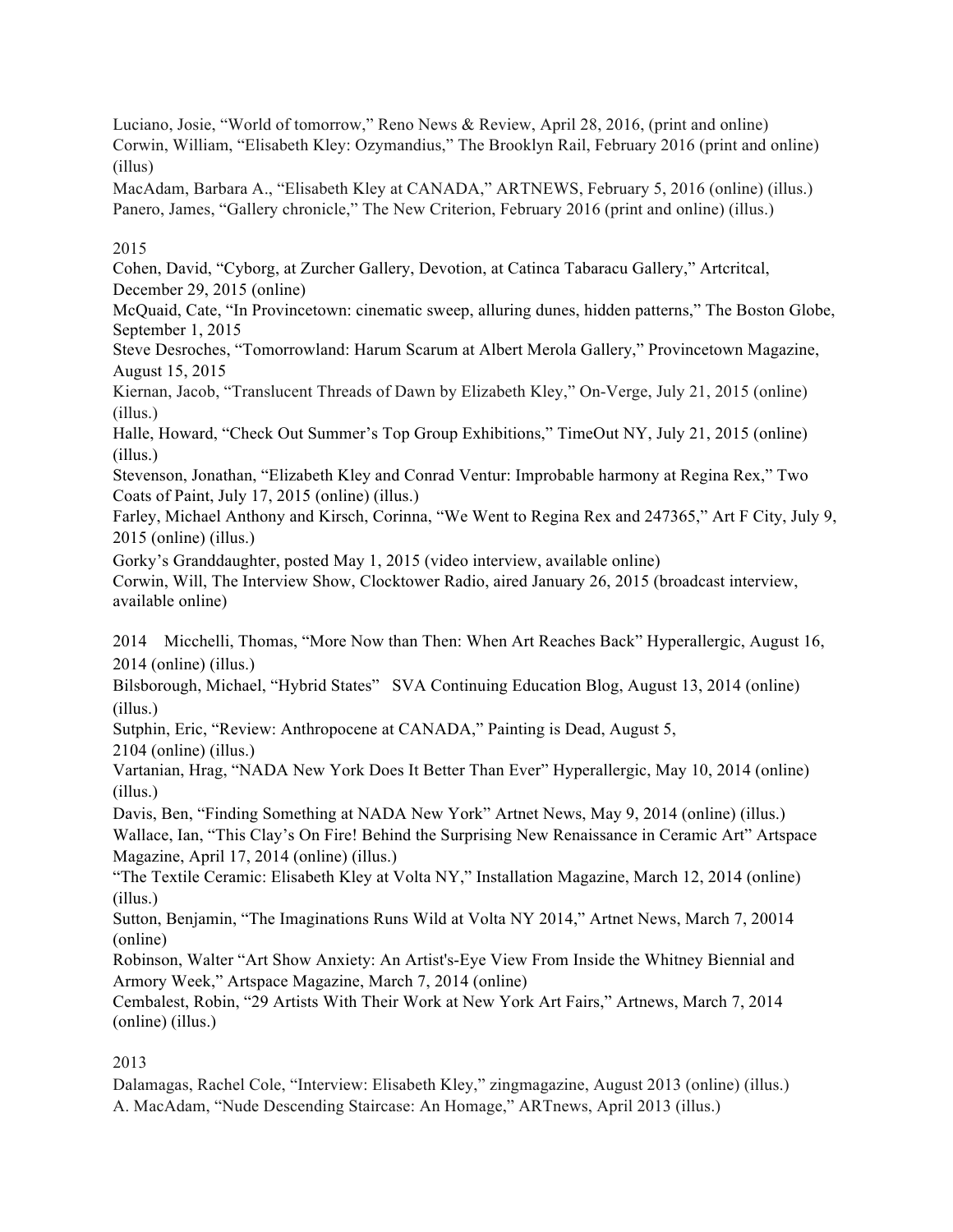Luciano, Josie, "World of tomorrow," Reno News & Review, April 28, 2016, (print and online) Corwin, William, "Elisabeth Kley: Ozymandius," The Brooklyn Rail, February 2016 (print and online) (illus)

MacAdam, Barbara A., "Elisabeth Kley at CANADA," ARTNEWS, February 5, 2016 (online) (illus.) Panero, James, "Gallery chronicle," The New Criterion, February 2016 (print and online) (illus.)

2015

Cohen, David, "Cyborg, at Zurcher Gallery, Devotion, at Catinca Tabaracu Gallery," Artcritcal, December 29, 2015 (online)

McQuaid, Cate, "In Provincetown: cinematic sweep, alluring dunes, hidden patterns," The Boston Globe, September 1, 2015

Steve Desroches, "Tomorrowland: Harum Scarum at Albert Merola Gallery," Provincetown Magazine, August 15, 2015

Kiernan, Jacob, "Translucent Threads of Dawn by Elizabeth Kley," On-Verge, July 21, 2015 (online) (illus.)

Halle, Howard, "Check Out Summer's Top Group Exhibitions," TimeOut NY, July 21, 2015 (online) (illus.)

Stevenson, Jonathan, "Elizabeth Kley and Conrad Ventur: Improbable harmony at Regina Rex," Two Coats of Paint, July 17, 2015 (online) (illus.)

Farley, Michael Anthony and Kirsch, Corinna, "We Went to Regina Rex and 247365," Art F City, July 9, 2015 (online) (illus.)

Gorky's Granddaughter, posted May 1, 2015 (video interview, available online)

Corwin, Will, The Interview Show, Clocktower Radio, aired January 26, 2015 (broadcast interview, available online)

2014 Micchelli, Thomas, "More Now than Then: When Art Reaches Back" Hyperallergic, August 16, 2014 (online) (illus.)

Bilsborough, Michael, "Hybrid States" SVA Continuing Education Blog, August 13, 2014 (online) (illus.)

Sutphin, Eric, "Review: Anthropocene at CANADA," Painting is Dead, August 5,

2104 (online) (illus.)

Vartanian, Hrag, "NADA New York Does It Better Than Ever" Hyperallergic, May 10, 2014 (online) (illus.)

Davis, Ben, "Finding Something at NADA New York" Artnet News, May 9, 2014 (online) (illus.) Wallace, Ian, "This Clay's On Fire! Behind the Surprising New Renaissance in Ceramic Art" Artspace Magazine, April 17, 2014 (online) (illus.)

"The Textile Ceramic: Elisabeth Kley at Volta NY," Installation Magazine, March 12, 2014 (online) (illus.)

Sutton, Benjamin, "The Imaginations Runs Wild at Volta NY 2014," Artnet News, March 7, 20014 (online)

Robinson, Walter "Art Show Anxiety: An Artist's-Eye View From Inside the Whitney Biennial and Armory Week," Artspace Magazine, March 7, 2014 (online)

Cembalest, Robin, "29 Artists With Their Work at New York Art Fairs," Artnews, March 7, 2014 (online) (illus.)

2013

Dalamagas, Rachel Cole, "Interview: Elisabeth Kley," zingmagazine, August 2013 (online) (illus.) A. MacAdam, "Nude Descending Staircase: An Homage," ARTnews, April 2013 (illus.)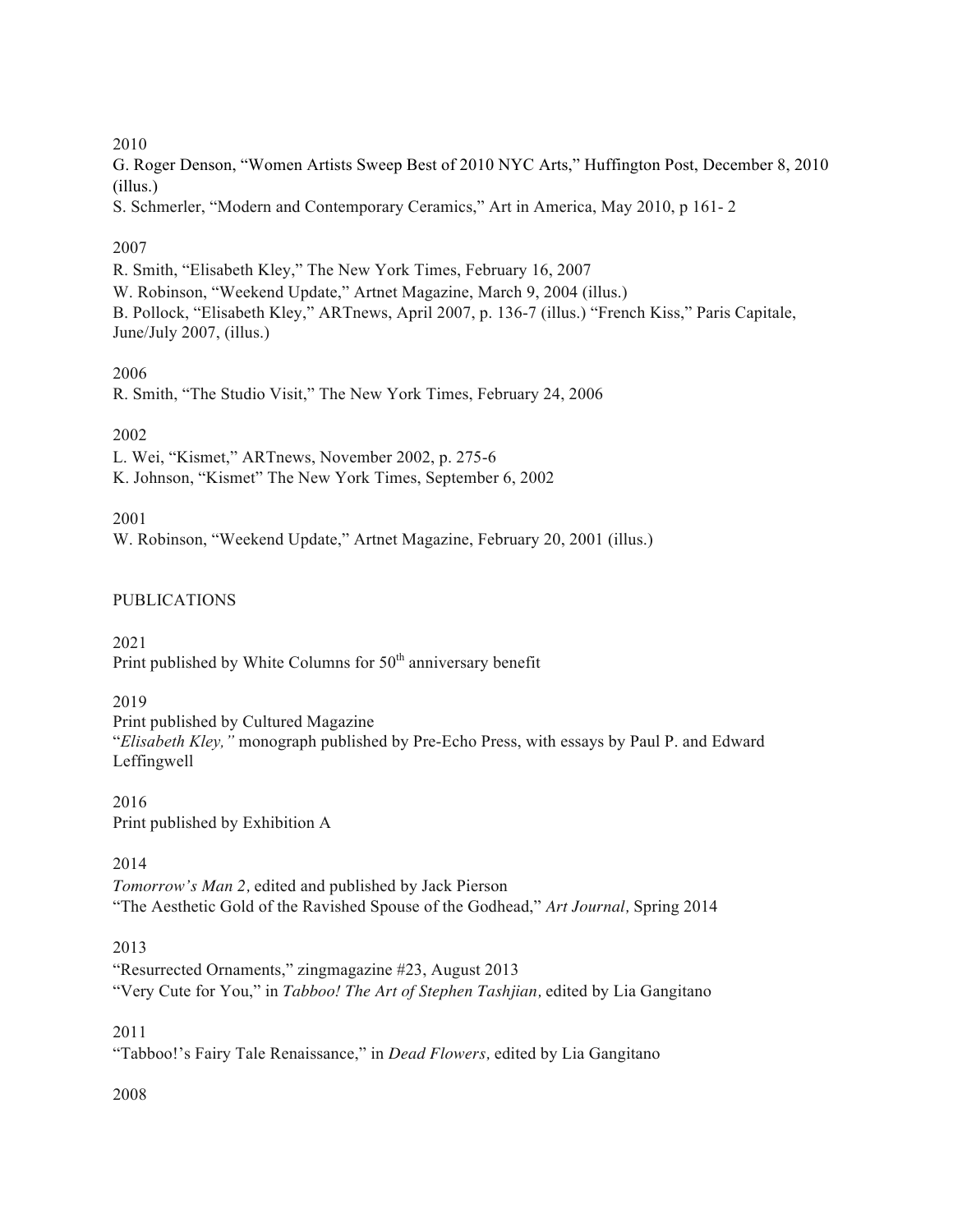### 2010

G. Roger Denson, "Women Artists Sweep Best of 2010 NYC Arts," Huffington Post, December 8, 2010 (illus.)

S. Schmerler, "Modern and Contemporary Ceramics," Art in America, May 2010, p 161- 2

## 2007

R. Smith, "Elisabeth Kley," The New York Times, February 16, 2007 W. Robinson, "Weekend Update," Artnet Magazine, March 9, 2004 (illus.) B. Pollock, "Elisabeth Kley," ARTnews, April 2007, p. 136-7 (illus.) "French Kiss," Paris Capitale, June/July 2007, (illus.)

## 2006

R. Smith, "The Studio Visit," The New York Times, February 24, 2006

# 2002

L. Wei, "Kismet," ARTnews, November 2002, p. 275-6

K. Johnson, "Kismet" The New York Times, September 6, 2002

# 2001

W. Robinson, "Weekend Update," Artnet Magazine, February 20, 2001 (illus.)

# PUBLICATIONS

2021 Print published by White Columns for  $50<sup>th</sup>$  anniversary benefit

## 2019

Print published by Cultured Magazine "*Elisabeth Kley,"* monograph published by Pre-Echo Press, with essays by Paul P. and Edward Leffingwell

2016 Print published by Exhibition A

# 2014

*Tomorrow's Man 2,* edited and published by Jack Pierson "The Aesthetic Gold of the Ravished Spouse of the Godhead," *Art Journal,* Spring 2014

# 2013

"Resurrected Ornaments," zingmagazine #23, August 2013 "Very Cute for You," in *Tabboo! The Art of Stephen Tashjian,* edited by Lia Gangitano

## 2011

"Tabboo!'s Fairy Tale Renaissance," in *Dead Flowers,* edited by Lia Gangitano

## 2008